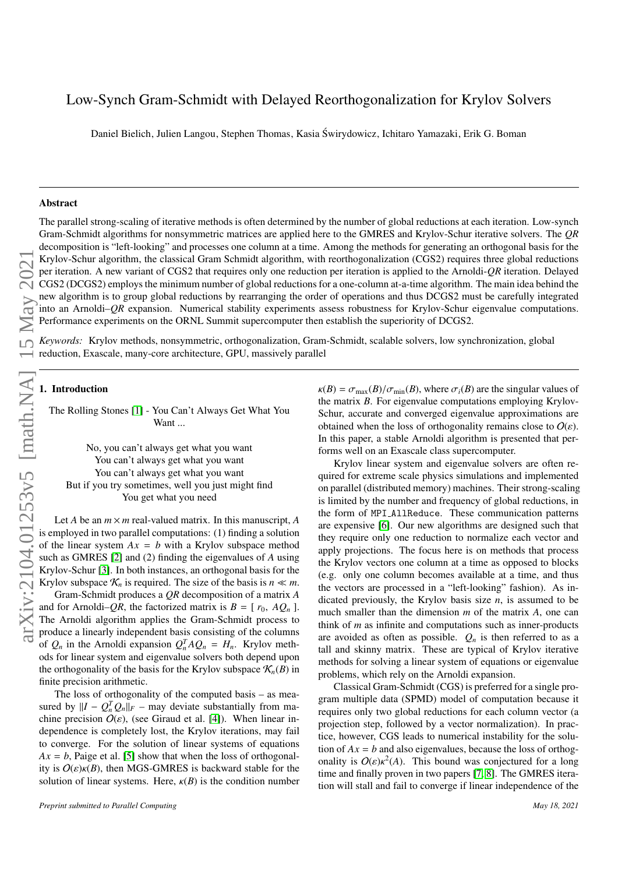# Low-Synch Gram-Schmidt with Delayed Reorthogonalization for Krylov Solvers

Daniel Bielich, Julien Langou, Stephen Thomas, Kasia Swirydowicz, Ichitaro Yamazaki, Erik G. Boman ´

#### Abstract

The parallel strong-scaling of iterative methods is often determined by the number of global reductions at each iteration. Low-synch Gram-Schmidt algorithms for nonsymmetric matrices are applied here to the GMRES and Krylov-Schur iterative solvers. The *QR* decomposition is "left-looking" and processes one column at a time. Among the methods for generating an orthogonal basis for the Krylov-Schur algorithm, the classical Gram Schmidt algorithm, with reorthogonalization (CGS2) requires three global reductions per iteration. A new variant of CGS2 that requires only one reduction per iteration is applied to the Arnoldi-*QR* iteration. Delayed CGS2 (DCGS2) employs the minimum number of global reductions for a one-column at-a-time algorithm. The main idea behind the new algorithm is to group global reductions by rearranging the order of operations and thus DCGS2 must be carefully integrated into an Arnoldi–*QR* expansion. Numerical stability experiments assess robustness for Krylov-Schur eigenvalue computations. Performance experiments on the ORNL Summit supercomputer then establish the superiority of DCGS2.

*Keywords:* Krylov methods, nonsymmetric, orthogonalization, Gram-Schmidt, scalable solvers, low synchronization, global reduction, Exascale, many-core architecture, GPU, massively parallel

# 1. Introduction

The Rolling Stones [\[1\]](#page-10-0) - You Can't Always Get What You Want ...

No, you can't always get what you want You can't always get what you want You can't always get what you want But if you try sometimes, well you just might find You get what you need

Let *A* be an *m* × *m* real-valued matrix. In this manuscript, *A* is employed in two parallel computations: (1) finding a solution of the linear system  $Ax = b$  with a Krylov subspace method such as GMRES [\[2\]](#page-11-0) and (2) finding the eigenvalues of *A* using Krylov-Schur [\[3\]](#page-11-1). In both instances, an orthogonal basis for the Krylov subspace  $\mathcal{K}_n$  is required. The size of the basis is  $n \ll m$ .

Gram-Schmidt produces a *QR* decomposition of a matrix *A* and for Arnoldi–*QR*, the factorized matrix is  $B = [r_0, AQ_n]$ .<br>The Arnoldi algorithm applies the Gram-Schmidt process to produce a linearly independent basis consisting of the columns of  $Q_n$  in the Arnoldi expansion  $Q_n^T A Q_n = H_n$ . Krylov methods for linear system and eigenvalue solvers both depend upon the orthogonality of the basis for the Krylov subspace  $\mathcal{K}_n(B)$  in finite precision arithmetic.

The loss of orthogonality of the computed basis – as measured by  $\|I - Q_n^T Q_n\|_F$  – may deviate substantially from machine precision  $O(\varepsilon)$ , (see Giraud et al. [\[4\]](#page-11-2)). When linear independence is completely lost, the Krylov iterations, may fail to converge. For the solution of linear systems of equations  $Ax = b$ , Paige et al. [\[5\]](#page-11-3) show that when the loss of orthogonality is  $O(\varepsilon)$ <sub>K</sub> $(B)$ , then MGS-GMRES is backward stable for the solution of linear systems. Here,  $\kappa(B)$  is the condition number

 $\kappa(B) = \sigma_{\text{max}}(B)/\sigma_{\text{min}}(B)$ , where  $\sigma_i(B)$  are the singular values of the matrix *B*. For eigenvalue computations employing Krylov-Schur, accurate and converged eigenvalue approximations are obtained when the loss of orthogonality remains close to  $O(\varepsilon)$ . In this paper, a stable Arnoldi algorithm is presented that performs well on an Exascale class supercomputer.

Krylov linear system and eigenvalue solvers are often required for extreme scale physics simulations and implemented on parallel (distributed memory) machines. Their strong-scaling is limited by the number and frequency of global reductions, in the form of MPI AllReduce. These communication patterns are expensive [\[6\]](#page-11-4). Our new algorithms are designed such that they require only one reduction to normalize each vector and apply projections. The focus here is on methods that process the Krylov vectors one column at a time as opposed to blocks (e.g. only one column becomes available at a time, and thus the vectors are processed in a "left-looking" fashion). As indicated previously, the Krylov basis size *n*, is assumed to be much smaller than the dimension *m* of the matrix *A*, one can think of *m* as infinite and computations such as inner-products are avoided as often as possible.  $Q_n$  is then referred to as a tall and skinny matrix. These are typical of Krylov iterative methods for solving a linear system of equations or eigenvalue problems, which rely on the Arnoldi expansion.

Classical Gram-Schmidt (CGS) is preferred for a single program multiple data (SPMD) model of computation because it requires only two global reductions for each column vector (a projection step, followed by a vector normalization). In practice, however, CGS leads to numerical instability for the solution of  $Ax = b$  and also eigenvalues, because the loss of orthogonality is  $O(\varepsilon) \kappa^2(A)$ . This bound was conjectured for a long<br>time and finally proven in two papers [7, 8]. The GMRES itera. time and finally proven in two papers [\[7,](#page-11-5) [8\]](#page-11-6). The GMRES iteration will stall and fail to converge if linear independence of the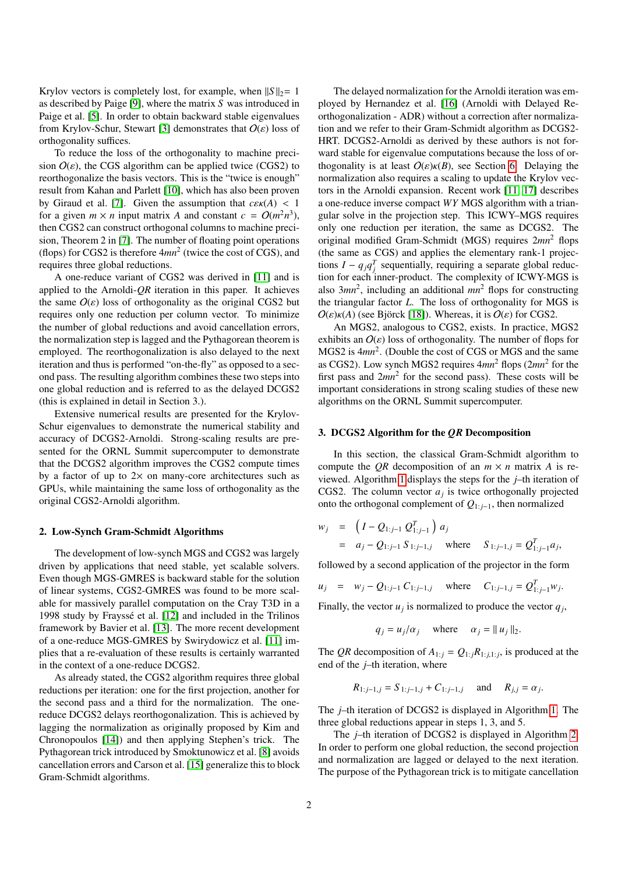Krylov vectors is completely lost, for example, when  $||S||_2 = 1$ as described by Paige [\[9\]](#page-11-7), where the matrix *S* was introduced in Paige et al. [\[5\]](#page-11-3). In order to obtain backward stable eigenvalues from Krylov-Schur, Stewart [\[3\]](#page-11-1) demonstrates that  $O(\varepsilon)$  loss of orthogonality suffices.

To reduce the loss of the orthogonality to machine precision  $O(\varepsilon)$ , the CGS algorithm can be applied twice (CGS2) to reorthogonalize the basis vectors. This is the "twice is enough" result from Kahan and Parlett [\[10\]](#page-11-8), which has also been proven by Giraud et al. [\[7\]](#page-11-5). Given the assumption that  $c\epsilon \kappa(A) < 1$ for a given  $m \times n$  input matrix A and constant  $c = O(m^2 n^3)$ , then CGS2 can construct orthogonal columns to machine precision, Theorem 2 in [\[7\]](#page-11-5). The number of floating point operations (flops) for CGS2 is therefore 4*mn*<sup>2</sup> (twice the cost of CGS), and requires three global reductions.

A one-reduce variant of CGS2 was derived in [\[11\]](#page-11-9) and is applied to the Arnoldi-*QR* iteration in this paper. It achieves the same  $O(\varepsilon)$  loss of orthogonality as the original CGS2 but requires only one reduction per column vector. To minimize the number of global reductions and avoid cancellation errors, the normalization step is lagged and the Pythagorean theorem is employed. The reorthogonalization is also delayed to the next iteration and thus is performed "on-the-fly" as opposed to a second pass. The resulting algorithm combines these two steps into one global reduction and is referred to as the delayed DCGS2 (this is explained in detail in Section 3.).

Extensive numerical results are presented for the Krylov-Schur eigenvalues to demonstrate the numerical stability and accuracy of DCGS2-Arnoldi. Strong-scaling results are presented for the ORNL Summit supercomputer to demonstrate that the DCGS2 algorithm improves the CGS2 compute times by a factor of up to  $2 \times$  on many-core architectures such as GPUs, while maintaining the same loss of orthogonality as the original CGS2-Arnoldi algorithm.

#### 2. Low-Synch Gram-Schmidt Algorithms

The development of low-synch MGS and CGS2 was largely driven by applications that need stable, yet scalable solvers. Even though MGS-GMRES is backward stable for the solution of linear systems, CGS2-GMRES was found to be more scalable for massively parallel computation on the Cray T3D in a 1998 study by Fraysse et al. [\[12\]](#page-11-10) and included in the Trilinos ´ framework by Bavier et al. [\[13\]](#page-11-11). The more recent development of a one-reduce MGS-GMRES by Swirydowicz et al. [\[11\]](#page-11-9) implies that a re-evaluation of these results is certainly warranted in the context of a one-reduce DCGS2.

As already stated, the CGS2 algorithm requires three global reductions per iteration: one for the first projection, another for the second pass and a third for the normalization. The onereduce DCGS2 delays reorthogonalization. This is achieved by lagging the normalization as originally proposed by Kim and Chronopoulos [\[14\]](#page-11-12)) and then applying Stephen's trick. The Pythagorean trick introduced by Smoktunowicz et al. [\[8\]](#page-11-6) avoids cancellation errors and Carson et al. [\[15\]](#page-11-13) generalize this to block Gram-Schmidt algorithms.

The delayed normalization for the Arnoldi iteration was employed by Hernandez et al. [\[16\]](#page-11-14) (Arnoldi with Delayed Reorthogonalization - ADR) without a correction after normalization and we refer to their Gram-Schmidt algorithm as DCGS2- HRT. DCGS2-Arnoldi as derived by these authors is not forward stable for eigenvalue computations because the loss of orthogonality is at least  $O(\varepsilon)$ <sub>K</sub> $(B)$ , see Section [6.](#page-6-0) Delaying the normalization also requires a scaling to update the Krylov vectors in the Arnoldi expansion. Recent work [\[11,](#page-11-9) [17\]](#page-11-15) describes a one-reduce inverse compact *WY* MGS algorithm with a triangular solve in the projection step. This ICWY–MGS requires only one reduction per iteration, the same as DCGS2. The original modified Gram-Schmidt (MGS) requires 2*mn*<sup>2</sup> flops (the same as CGS) and applies the elementary rank-1 projections  $I - q_j q_j^T$  sequentially, requiring a separate global reduction for each inner-product. The complexity of ICWY-MGS is also  $3mn^2$ , including an additional  $mn^2$  flops for constructing the triangular factor *L*. The loss of orthogonality for MGS is  $O(\varepsilon)$ <sub>K</sub>(A) (see Björck [\[18\]](#page-11-16)). Whereas, it is  $O(\varepsilon)$  for CGS2.

An MGS2, analogous to CGS2, exists. In practice, MGS2 exhibits an  $O(\varepsilon)$  loss of orthogonality. The number of flops for MGS2 is  $4mn^2$ . (Double the cost of CGS or MGS and the same as CGS2). Low synch MGS2 requires 4*mn*<sup>2</sup> flops (2*mn*<sup>2</sup> for the first pass and  $2mn^2$  for the second pass). These costs will be important considerations in strong scaling studies of these new algorithms on the ORNL Summit supercomputer.

#### 3. DCGS2 Algorithm for the *QR* Decomposition

In this section, the classical Gram-Schmidt algorithm to compute the *QR* decomposition of an  $m \times n$  matrix *A* is reviewed. Algorithm [1](#page-2-0) displays the steps for the *j*–th iteration of CGS2. The column vector  $a_j$  is twice orthogonally projected onto the orthogonal complement of *Q*1: *<sup>j</sup>*−1, then normalized

$$
w_j = (I - Q_{1:j-1} Q_{1:j-1}^T) a_j
$$
  
=  $a_j - Q_{1:j-1} S_{1:j-1,j}$  where  $S_{1:j-1,j} = Q_{1:j-1}^T a_j$ ,

followed by a second application of the projector in the form

$$
u_j = w_j - Q_{1:j-1} C_{1:j-1,j}
$$
 where  $C_{1:j-1,j} = Q_{1:j-1}^T w_j$ .

Finally, the vector  $u_j$  is normalized to produce the vector  $q_j$ ,

$$
q_j = u_j/\alpha_j
$$
 where  $\alpha_j = ||u_j||_2$ .

The *QR* decomposition of  $A_{1:j} = Q_{1:j}R_{1:j,1:j}$ , is produced at the end of the *j*–th iteration, where

$$
R_{1:j-1,j} = S_{1:j-1,j} + C_{1:j-1,j}
$$
 and  $R_{j,j} = \alpha_j$ .

The *j*–th iteration of DCGS2 is displayed in Algorithm [1.](#page-2-0) The three global reductions appear in steps 1, 3, and 5.

The *j*–th iteration of DCGS2 is displayed in Algorithm [2.](#page-2-1) In order to perform one global reduction, the second projection and normalization are lagged or delayed to the next iteration. The purpose of the Pythagorean trick is to mitigate cancellation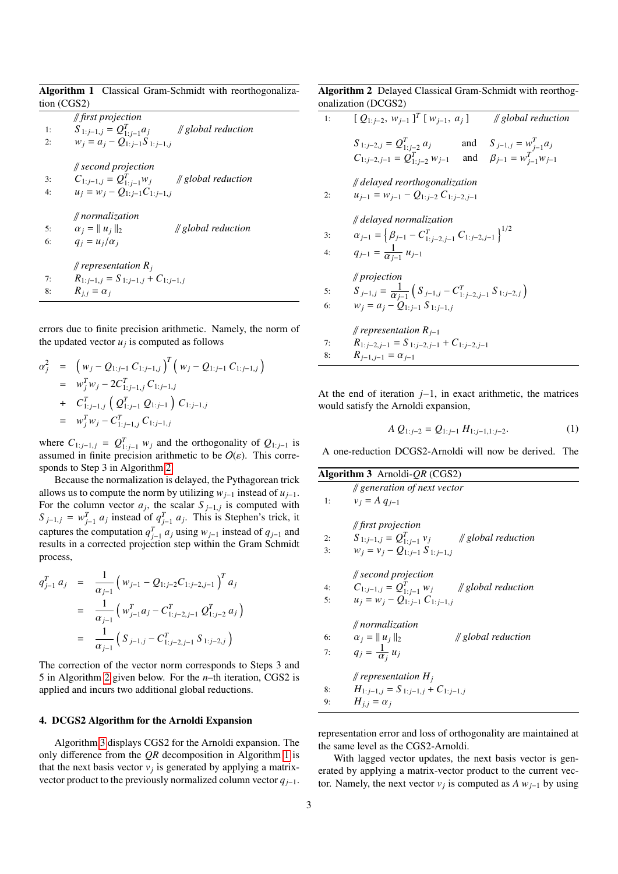<span id="page-2-0"></span>

|             |  | <b>Algorithm 1</b> Classical Gram-Schmidt with reorthogonaliza- |
|-------------|--|-----------------------------------------------------------------|
| tion (CGS2) |  |                                                                 |

// *first projection* 1:  $S_{1:j-1,j} = Q_{1:j-1}^T a_j$ // *global reduction* 2:  $w_j = a_j - Q_{1:j-1}S_{1:j-1,j}$ 

// *second projection*

3:  $C_{1:j-1,j} = Q_{1:j-1}^T w_j$ // *global reduction* 4:  $u_j = w_j - Q_{1:j-1}C_{1:j-1,j}$ 

// *normalization* 5:  $\alpha_j = ||u_j||_2$  // *global reduction*<br>6:  $a_i = u_i/\alpha_i$  $q_i = u_i/\alpha_i$ 

// *representation R<sup>j</sup>*

7:  $R_{1:j-1,j} = S_{1:j-1,j} + C_{1:j-1,j}$ <br>8:  $R_{i,j} = \alpha_i$  $R_{j,j} = \alpha_j$ 

errors due to finite precision arithmetic. Namely, the norm of the updated vector  $u_j$  is computed as follows

$$
\alpha_j^2 = (w_j - Q_{1:j-1} C_{1:j-1,j})^T (w_j - Q_{1:j-1} C_{1:j-1,j})
$$
  
= 
$$
w_j^T w_j - 2C_{1:j-1,j}^T C_{1:j-1,j}
$$
  
+ 
$$
C_{1:j-1,j}^T (Q_{1:j-1}^T Q_{1:j-1}) C_{1:j-1,j}
$$
  
= 
$$
w_j^T w_j - C_{1:j-1,j}^T C_{1:j-1,j}
$$

where  $C_{1:j-1,j} = Q_{1:j-1}^T w_j$  and the orthogonality of  $Q_{1:j-1}$  is assumed in finite precision arithmetic to be  $O(\varepsilon)$ . This corresponds to Step 3 in Algorithm [2.](#page-2-1)

Because the normalization is delayed, the Pythagorean trick allows us to compute the norm by utilizing  $w_{j-1}$  instead of  $u_{j-1}$ . For the column vector  $a_j$ , the scalar  $S_{j-1,j}$  is computed with  $S_{j-1,j}$   $\infty$   $\mathbb{R}^{j}$  and  $\infty$   $S_{j-1,j}$  is stephen's trick if  $S_{j-1,j} = w_{j-1}^T a_j$  instead of  $q_{j-1}^T a_j$ . This is Stephen's trick, it captures the computation  $q_{j-1}^T a_j$  using  $w_{j-1}$  instead of  $q_{j-1}$  and results in a corrected projection step within the Gram Schmidt process,

$$
q_{j-1}^T a_j = \frac{1}{\alpha_{j-1}} \left( w_{j-1} - Q_{1:j-2} C_{1:j-2,j-1} \right)^T a_j
$$
  

$$
= \frac{1}{\alpha_{j-1}} \left( w_{j-1}^T a_j - C_{1:j-2,j-1}^T Q_{1:j-2}^T a_j \right)
$$
  

$$
= \frac{1}{\alpha_{j-1}} \left( S_{j-1,j} - C_{1:j-2,j-1}^T S_{1:j-2,j} \right)
$$

The correction of the vector norm corresponds to Steps 3 and 5 in Algorithm [2](#page-2-1) given below. For the *n*–th iteration, CGS2 is applied and incurs two additional global reductions.

# <span id="page-2-4"></span>4. DCGS2 Algorithm for the Arnoldi Expansion

Algorithm [3](#page-2-2) displays CGS2 for the Arnoldi expansion. The only difference from the *QR* decomposition in Algorithm [1](#page-2-0) is that the next basis vector  $v_j$  is generated by applying a matrixvector product to the previously normalized column vector *qj*−1.

# <span id="page-2-1"></span>Algorithm 2 Delayed Classical Gram-Schmidt with reorthogonalization (DCGS2)

| 1:       | $[Q_{1:j-2}, w_{j-1}]^T[w_{j-1}, a_j]$<br>$\#$ global reduction                                                                                                |
|----------|----------------------------------------------------------------------------------------------------------------------------------------------------------------|
|          | $S_{1:j-2,j} = Q_{1:j-2}^T a_j$<br>and $S_{j-1,j} = w_{j-1}^T a_j$<br>$C_{1:j-2,j-1} = Q_{1:j-2}^T w_{j-1}$ and $\beta_{j-1} = w_{j-1}^T w_{j-1}$              |
| 2:       | $\#$ delayed reorthogonalization<br>$u_{i-1} = w_{i-1} - Q_{1:i-2} C_{1:i-2,i-1}$                                                                              |
| 3:<br>4: | delayed normalization<br>$\alpha_{j-1} = \left\{ \beta_{j-1} - C_{1; j-2, j-1}^T C_{1; j-2, j-1} \right\}^{1/2}$<br>$q_{j-1} = \frac{1}{\alpha_{i-1}} u_{j-1}$ |
| 5:<br>6: | $\#$ projection<br>$S_{j-1,j} = \frac{1}{\alpha_{i-1}} \left( S_{j-1,j} - C_{1:j-2,j-1}^T S_{1:j-2,j} \right)$<br>$w_i = a_i - Q_{1:i-1} S_{1:i-1,i}$          |
| 7:<br>8: | <i>  </i> representation $R_{i-1}$<br>$R_{1:j-2,j-1} = S_{1:j-2,j-1} + C_{1:j-2,j-1}$<br>$R_{j-1,j-1} = \alpha_{j-1}$                                          |

At the end of iteration *j*−1, in exact arithmetic, the matrices would satisfy the Arnoldi expansion,

<span id="page-2-3"></span>
$$
A Q_{1:j-2} = Q_{1:j-1} H_{1:j-1,1:j-2}.
$$
 (1)

A one-reduction DCGS2-Arnoldi will now be derived. The

<span id="page-2-2"></span>

|    | <b>Algorithm 3</b> Arnoldi- <i>QR</i> (CGS2)             |
|----|----------------------------------------------------------|
|    | $\#$ generation of next vector                           |
| 1: | $v_i = A q_{i-1}$                                        |
|    | $\#$ first projection                                    |
| 2: | $S_{1:j-1,j} = Q_{1:j-1}^T v_j$<br>$\#$ global reduction |
| 3: | $w_i = v_i - Q_{1:i-1} S_{1:i-1,i}$                      |
|    | $\#$ second projection                                   |
| 4: | $C_{1:j-1,j} = Q_{1:j-1}^T w_j$<br>$\#$ global reduction |
| 5: | $u_i = w_i - Q_{1:i-1} C_{1:i-1,i}$                      |
|    | $\#$ normalization                                       |
| 6: | $\alpha_i =   u_i  _2$<br>$\#$ global reduction          |
| 7: | $q_j = \frac{1}{\alpha_i} u_j$                           |
|    | <i>  </i> representation $H_i$                           |
| 8: | $H_{1:j-1,j} = S_{1:j-1,j} + C_{1:j-1,j}$                |
| 9: | $H_{i,j} = \alpha_i$                                     |
|    |                                                          |

representation error and loss of orthogonality are maintained at the same level as the CGS2-Arnoldi.

With lagged vector updates, the next basis vector is generated by applying a matrix-vector product to the current vector. Namely, the next vector  $v_j$  is computed as  $A w_{j-1}$  by using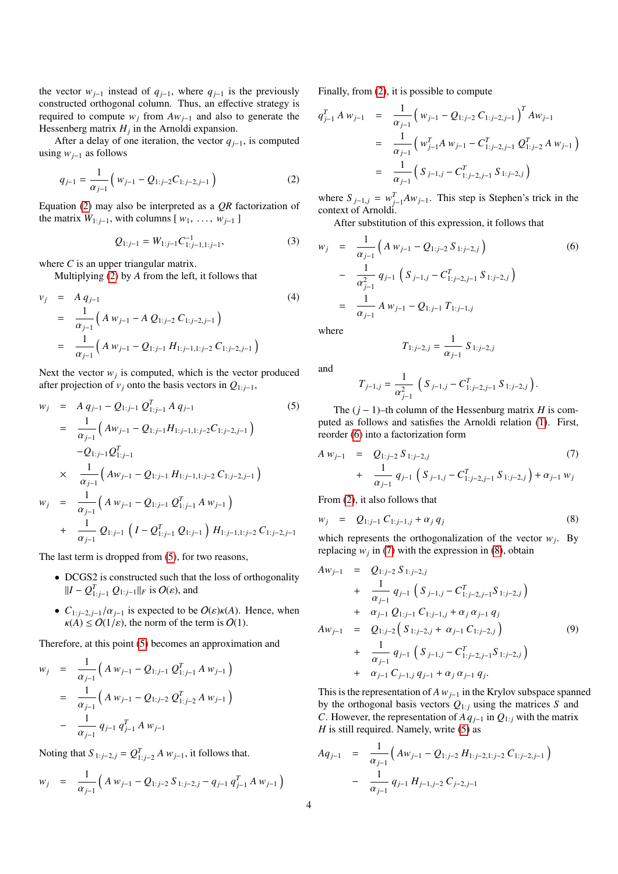the vector  $w_{j-1}$  instead of  $q_{j-1}$ , where  $q_{j-1}$  is the previously constructed orthogonal column. Thus, an effective strategy is required to compute  $w_j$  from  $Aw_{j-1}$  and also to generate the Hessenberg matrix *H<sup>j</sup>* in the Arnoldi expansion.

After a delay of one iteration, the vector  $q_{j-1}$ , is computed using *wj*−<sup>1</sup> as follows

<span id="page-3-0"></span>
$$
q_{j-1} = \frac{1}{\alpha_{j-1}} \left( w_{j-1} - Q_{1:j-2} C_{1:j-2,j-1} \right)
$$
 (2)

Equation [\(2\)](#page-3-0) may also be interpreted as a *QR* factorization of the matrix  $W_{1:j-1}$ , with columns  $[w_1, \ldots, w_{j-1}]$ 

$$
Q_{1:j-1} = W_{1:j-1} C_{1:j-1,1:j-1}^{-1}, \tag{3}
$$

where *C* is an upper triangular matrix.

Multiplying [\(2\)](#page-3-0) by *A* from the left, it follows that

<span id="page-3-5"></span>
$$
v_j = A q_{j-1}
$$
\n
$$
= \frac{1}{\alpha_{j-1}} \Big( A w_{j-1} - A Q_{1:j-2} C_{1:j-2,j-1} \Big)
$$
\n
$$
= \frac{1}{\alpha_{j-1}} \Big( A w_{j-1} - Q_{1:j-1} H_{1:j-1,1:j-2} C_{1:j-2,j-1} \Big)
$$
\n(4)

Next the vector  $w_j$  is computed, which is the vector produced after projection of  $v_j$  onto the basis vectors in  $Q_{1:j-1}$ ,

<span id="page-3-1"></span>
$$
w_j = A q_{j-1} - Q_{1:j-1} Q_{1:j-1}^T A q_{j-1}
$$
\n
$$
= \frac{1}{\alpha_{j-1}} \Big( A w_{j-1} - Q_{1:j-1} H_{1:j-1,1:j-2} C_{1:j-2,j-1} \Big)
$$
\n
$$
-Q_{1:j-1} Q_{1:j-1}^T
$$
\n
$$
\times \frac{1}{\alpha_{j-1}} \Big( A w_{j-1} - Q_{1:j-1} H_{1:j-1,1:j-2} C_{1:j-2,j-1} \Big)
$$
\n
$$
w_j = \frac{1}{\alpha_{j-1}} \Big( A w_{j-1} - Q_{1:j-1} Q_{1:j-1}^T A w_{j-1} \Big)
$$
\n
$$
+ \frac{1}{\alpha_{j-1}} Q_{1:j-1} \Big( I - Q_{1:j-1}^T Q_{1:j-1} \Big) H_{1:j-1,1:j-2} C_{1:j-2,j-1}
$$
\n(17)

The last term is dropped from [\(5\)](#page-3-1), for two reasons,

- DCGS2 is constructed such that the loss of orthogonality  $||I - Q_{1:j-1}^T Q_{1:j-1}||_F$  is  $O(\varepsilon)$ , and
- $C_{1:j-2,j-1}/\alpha_{j-1}$  is expected to be  $O(\varepsilon)\kappa(A)$ . Hence, when  $\kappa(A) \leq O(1/\varepsilon)$ , the norm of the term is  $O(1)$ .

Therefore, at this point [\(5\)](#page-3-1) becomes an approximation and

<span id="page-3-2"></span>
$$
w_j = \frac{1}{\alpha_{j-1}} \left( A w_{j-1} - Q_{1:j-1} Q_{1:j-1}^T A w_{j-1} \right)
$$
  
= 
$$
\frac{1}{\alpha_{j-1}} \left( A w_{j-1} - Q_{1:j-2} Q_{1:j-2}^T A w_{j-1} \right)
$$
  
- 
$$
\frac{1}{\alpha_{j-1}} q_{j-1} q_{j-1}^T A w_{j-1}
$$

Noting that  $S_{1:j-2,j} = Q_{1:j-2}^T A w_{j-1}$ , it follows that.

$$
w_j = \frac{1}{\alpha_{j-1}} \left( A w_{j-1} - Q_{1:j-2} S_{1:j-2,j} - q_{j-1} q_{j-1}^T A w_{j-1} \right)
$$

Finally, from [\(2\)](#page-3-0), it is possible to compute

$$
q_{j-1}^T A w_{j-1} = \frac{1}{\alpha_{j-1}} \left( w_{j-1} - Q_{1:j-2} C_{1:j-2,j-1} \right)^T A w_{j-1}
$$
  

$$
= \frac{1}{\alpha_{j-1}} \left( w_{j-1}^T A w_{j-1} - C_{1:j-2,j-1}^T Q_{1:j-2}^T A w_{j-1} \right)
$$
  

$$
= \frac{1}{\alpha_{j-1}} \left( S_{j-1,j} - C_{1:j-2,j-1}^T S_{1:j-2,j} \right)
$$

where  $S_{j-1,j} = w_{j-1}^T A w_{j-1}$ . This step is Stephen's trick in the context of Arnoldi.

After substitution of this expression, it follows that

$$
w_j = \frac{1}{\alpha_{j-1}} \left( A w_{j-1} - Q_{1:j-2} S_{1:j-2,j} \right)
$$
\n
$$
- \frac{1}{\alpha_{j-1}^2} q_{j-1} \left( S_{j-1,j} - C_{1:j-2,j-1}^T S_{1:j-2,j} \right)
$$
\n
$$
= \frac{1}{\alpha_{j-1}} A w_{j-1} - Q_{1:j-1} T_{1:j-1,j}
$$
\n(6)

where

$$
T_{1:j-2,j} = \frac{1}{\alpha_{j-1}} S_{1:j-2,j}
$$

and

$$
T_{j-1,j} = \frac{1}{\alpha_{j-1}^2} \left( S_{j-1,j} - C_{1:j-2,j-1}^T S_{1:j-2,j} \right).
$$

The (*j* − 1)–th column of the Hessenburg matrix *H* is computed as follows and satisfies the Arnoldi relation [\(1\)](#page-2-3). First, reorder [\(6\)](#page-3-2) into a factorization form

<span id="page-3-3"></span>
$$
A w_{j-1} = Q_{1:j-2} S_{1:j-2,j}
$$
  
+ 
$$
\frac{1}{\alpha_{j-1}} q_{j-1} \left( S_{j-1,j} - C_{1:j-2,j-1}^T S_{1:j-2,j} \right) + \alpha_{j-1} w_j
$$
 (7)

From [\(2\)](#page-3-0), it also follows that

<span id="page-3-4"></span>
$$
w_j = Q_{1:j-1} C_{1:j-1,j} + \alpha_j q_j \tag{8}
$$

which represents the orthogonalization of the vector  $w_j$ . By replacing  $w_j$  in [\(7\)](#page-3-3) with the expression in [\(8\)](#page-3-4), obtain

<span id="page-3-6"></span>
$$
Aw_{j-1} = Q_{1:j-2} S_{1:j-2,j}
$$
  
+ 
$$
\frac{1}{\alpha_{j-1}} q_{j-1} (S_{j-1,j} - C_{1:j-2,j-1}^T S_{1:j-2,j})
$$
  
+ 
$$
\alpha_{j-1} Q_{1:j-1} C_{1:j-1,j} + \alpha_j \alpha_{j-1} q_j
$$
  

$$
Aw_{j-1} = Q_{1:j-2} (S_{1:j-2,j} + \alpha_{j-1} C_{1:j-2,j})
$$
  
+ 
$$
\frac{1}{\alpha_{j-1}} q_{j-1} (S_{j-1,j} - C_{1:j-2,j-1}^T S_{1:j-2,j})
$$
  
+ 
$$
\alpha_{j-1} C_{j-1,j} q_{j-1} + \alpha_j \alpha_{j-1} q_j.
$$
  
(9)

This is the representation of *A*  $w_{j-1}$  in the Krylov subspace spanned by the orthogonal basis vectors  $Q_{1:j}$  using the matrices *S* and *C*. However, the representation of *A*  $q_{j-1}$  in  $Q_{1:j}$  with the matrix *H* is still required. Namely, write [\(5\)](#page-3-5) as

<span id="page-3-7"></span>
$$
Aq_{j-1} = \frac{1}{\alpha_{j-1}} \left( A w_{j-1} - Q_{1:j-2} H_{1:j-2,1:j-2} C_{1:j-2,j-1} \right)
$$

$$
- \frac{1}{\alpha_{j-1}} q_{j-1} H_{j-1,j-2} C_{j-2,j-1}
$$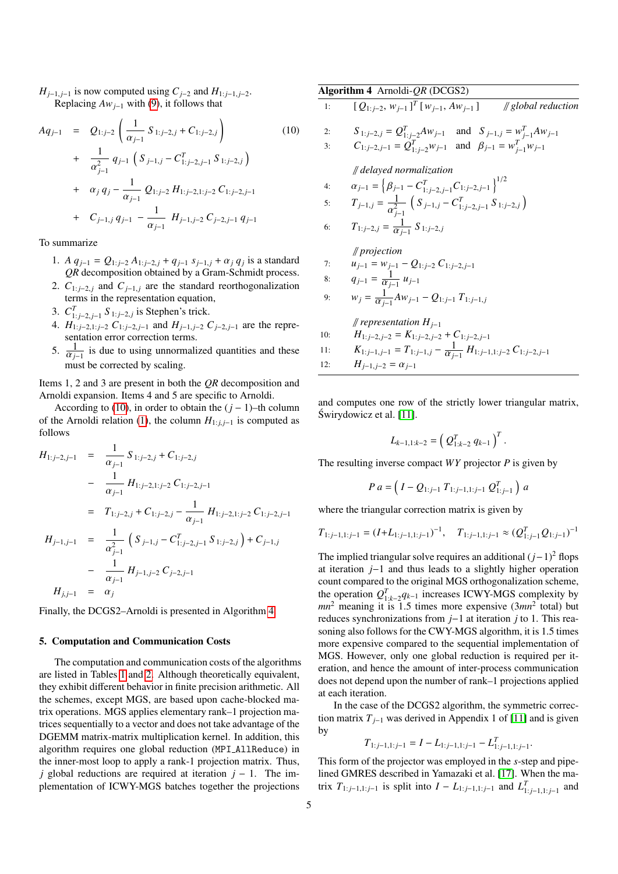*H*<sub>*j*−1, *j*−1</sub> is now computed using  $C$ <sub>*j*−2</sub> and  $H$ <sub>1: *j*−1, *j*−2.</sub> Replacing  $Aw_{j-1}$  with [\(9\)](#page-3-6), it follows that

$$
Aq_{j-1} = Q_{1:j-2} \left( \frac{1}{\alpha_{j-1}} S_{1:j-2,j} + C_{1:j-2,j} \right)
$$
(10)  
+ 
$$
\frac{1}{\alpha_{j-1}^2} q_{j-1} \left( S_{j-1,j} - C_{1:j-2,j-1}^T S_{1:j-2,j} \right)
$$
  
+ 
$$
\alpha_j q_j - \frac{1}{\alpha_{j-1}} Q_{1:j-2} H_{1:j-2,1:j-2} C_{1:j-2,j-1}
$$
  
+ 
$$
C_{j-1,j} q_{j-1} - \frac{1}{\alpha_{j-1}} H_{j-1,j-2} C_{j-2,j-1} q_{j-1}
$$

To summarize

- 1. *A*  $q_{j-1} = Q_{1:j-2} A_{1:j-2,j} + q_{j-1} s_{j-1,j} + \alpha_j q_j$  is a standard *OR* decomposition obtained by a Gram-Schmidt process *QR* decomposition obtained by a Gram-Schmidt process.
- 2.  $C_{1:j-2,j}$  and  $C_{j-1,j}$  are the standard reorthogonalization terms in the representation equation,
- 3.  $C_{1:j-2,j-1}^T S_{1:j-2,j}$  is Stephen's trick.
- *j*.  $C_{1:j-2, j-1}$  *o*  $1:j-2, j$  is such it in the state.<br>4. *H*<sub>1:*j*−2, *i*;*j*−2, *i*−*1* and *H<sub>j−1,j−2</sub> C<sub>j−2,j−1</sub>* are the representation error correction terms.</sub>
- 5.  $\frac{1}{\alpha}$  $\frac{1}{\alpha_{j-1}}$  is due to using unnormalized quantities and these<br>must be corrected by scaling must be corrected by scaling.

Items 1, 2 and 3 are present in both the *QR* decomposition and Arnoldi expansion. Items 4 and 5 are specific to Arnoldi.

According to [\(10\)](#page-3-7), in order to obtain the  $(j - 1)$ –th column of the Arnoldi relation [\(1\)](#page-2-3), the column  $H_{1:i,j-1}$  is computed as follows

$$
H_{1:j-2,j-1} = \frac{1}{\alpha_{j-1}} S_{1:j-2,j} + C_{1:j-2,j}
$$
  
\n
$$
- \frac{1}{\alpha_{j-1}} H_{1:j-2,1:j-2} C_{1:j-2,j-1}
$$
  
\n
$$
= T_{1:j-2,j} + C_{1:j-2,j} - \frac{1}{\alpha_{j-1}} H_{1:j-2,1:j-2} C_{1:j-2,j-1}
$$
  
\n
$$
H_{j-1,j-1} = \frac{1}{\alpha_{j-1}^2} \left( S_{j-1,j} - C_{1:j-2,j-1}^T S_{1:j-2,j} \right) + C_{j-1,j}
$$
  
\n
$$
- \frac{1}{\alpha_{j-1}} H_{j-1,j-2} C_{j-2,j-1}
$$
  
\n
$$
H_{j,j-1} = \alpha_j
$$

Finally, the DCGS2–Arnoldi is presented in Algorithm [4.](#page-4-0)

# 5. Computation and Communication Costs

The computation and communication costs of the algorithms are listed in Tables [1](#page-5-0) and [2.](#page-5-1) Although theoretically equivalent, they exhibit different behavior in finite precision arithmetic. All the schemes, except MGS, are based upon cache-blocked matrix operations. MGS applies elementary rank–1 projection matrices sequentially to a vector and does not take advantage of the DGEMM matrix-matrix multiplication kernel. In addition, this algorithm requires one global reduction (MPI AllReduce) in the inner-most loop to apply a rank-1 projection matrix. Thus, *j* global reductions are required at iteration *j* − 1. The implementation of ICWY-MGS batches together the projections

<span id="page-4-0"></span>

|    | Algorithm 4 Arnoldi- $QR$ (DCGS2)                                                                                                                          |
|----|------------------------------------------------------------------------------------------------------------------------------------------------------------|
| 1: | $[Q_{1:j-2}, w_{j-1}]^T[w_{j-1}, Aw_{j-1}]$<br>$\#$ global reduction                                                                                       |
| 2: | $S_{1:j-2,j} = Q_{1:j-2}^T A w_{j-1}$ and $S_{j-1,j} = w_{j-1}^T A w_{j-1}$<br>$C_{1:j-2,j-1} = Q_{1:j-2}^T w_{j-1}$ and $\beta_{j-1} = w_{j-1}^T w_{j-1}$ |
| 3: |                                                                                                                                                            |
|    | // delayed normalization                                                                                                                                   |
| 4: | $\alpha_{j-1} = \left\{\beta_{j-1} - C_{1:j-2,j-1}^T C_{1:j-2,j-1}\right\}^{1/2}$                                                                          |
| 5: | $T_{j-1,j} = \frac{1}{\alpha_{i-1}^2} \left( S_{j-1,j} - C_{1:j-2,j-1}^T S_{1:j-2,j} \right)$                                                              |

6: 
$$
T_{1:j-2,j} = \frac{1}{\alpha_{j-1}} S_{1:j-2,j}
$$

// *projection*

7: 
$$
u_{j-1} = w_{j-1} - Q_{1:j-2} C_{1:j-2,j-1}
$$

8: 
$$
q_{j-1} = \frac{1}{\alpha_{j-1}} u_{j-1}
$$
  
9:  $w_j = \frac{1}{\alpha_{j-1}} A w_{j-1} - Q_{1:j-1} T_{1:j-1,j}$ 

// *representation Hj*−<sup>1</sup> 10:  $H_{1:j-2,j-2} = K_{1:j-2,j-2} + C_{1:j-2,j-1}$ <br>11:  $K_{1:i-1,i-1} = T_{1:i-1,i} - \frac{1}{2} H_{1:i-1}$ 11:  $K_{1:j-1,j-1} = T_{1:j-1,j} - \frac{1}{\alpha_j}$  $\frac{1}{\alpha_{j-1}} H_{1:j-1,1:j-2} C_{1:j-2,j-1}$ 12:  $H_{j-1,j-2} = \alpha_{j-1}$ 

and computes one row of the strictly lower triangular matrix, Swirydowicz et al. [\[11\]](#page-11-9). ´

$$
L_{k-1,1:k-2} = \left(Q_{1:k-2}^T q_{k-1}\right)^T.
$$

The resulting inverse compact *WY* projector *P* is given by

$$
P\ a = \left(I - Q_{1:j-1}\ T_{1:j-1,1:j-1}\ Q_{1:j-1}^T\right)\ a
$$

where the triangular correction matrix is given by

$$
T_{1:j-1,1:j-1} = (I + L_{1:j-1,1:j-1})^{-1}, \quad T_{1:j-1,1:j-1} \approx (Q_{1:j-1}^T Q_{1:j-1})^{-1}
$$

The implied triangular solve requires an additional (*j*−1)<sup>2</sup> flops at iteration *j*−1 and thus leads to a slightly higher operation count compared to the original MGS orthogonalization scheme, the operation  $Q_{1:k-2}^T q_{k-1}$  increases ICWY-MGS complexity by  $mn^2$  meaning it is 1.5 times more expensive  $(3mn^2 \text{ total})$  but reduces synchronizations from *j*−1 at iteration *j* to 1. This reasoning also follows for the CWY-MGS algorithm, it is 1.5 times more expensive compared to the sequential implementation of MGS. However, only one global reduction is required per iteration, and hence the amount of inter-process communication does not depend upon the number of rank–1 projections applied at each iteration.

In the case of the DCGS2 algorithm, the symmetric correction matrix  $T_{j-1}$  was derived in Appendix 1 of [\[11\]](#page-11-9) and is given by

$$
T_{1:j-1,1:j-1} = I - L_{1:j-1,1:j-1} - L_{1:j-1,1:j-1}^T
$$

This form of the projector was employed in the *s*-step and pipelined GMRES described in Yamazaki et al. [\[17\]](#page-11-15). When the matrix  $T_{1:j-1,1:j-1}$  is split into  $I - L_{1:j-1,1:j-1}$  and  $L_{1:j-1,1:j-1}^T$  and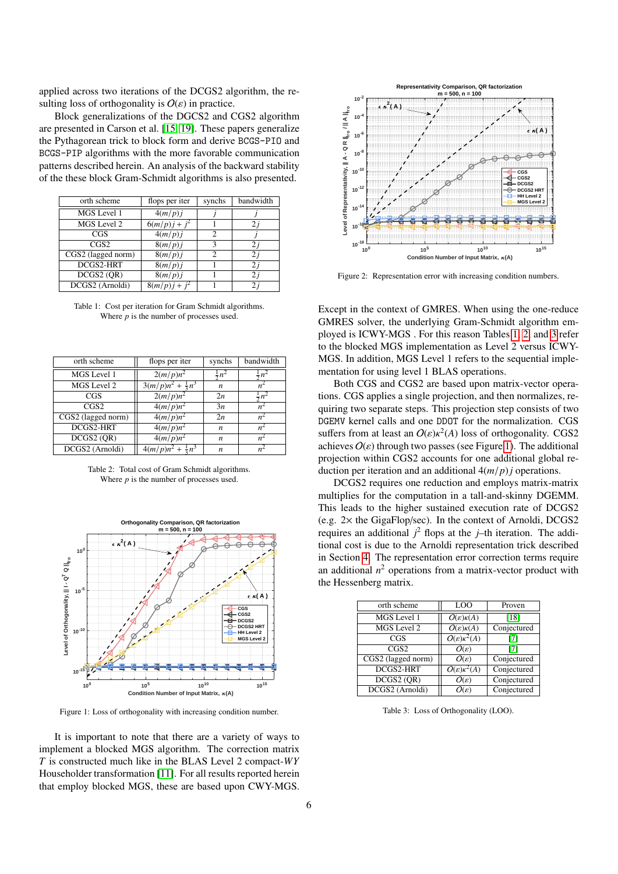applied across two iterations of the DCGS2 algorithm, the resulting loss of orthogonality is  $O(\varepsilon)$  in practice.

Block generalizations of the DGCS2 and CGS2 algorithm are presented in Carson et al. [\[15,](#page-11-13) [19\]](#page-11-17). These papers generalize the Pythagorean trick to block form and derive BCGS-PIO and BCGS-PIP algorithms with the more favorable communication patterns described herein. An analysis of the backward stability of the these block Gram-Schmidt algorithms is also presented.

<span id="page-5-0"></span>

| flops per iter  | synchs                      | bandwidth  |
|-----------------|-----------------------------|------------|
| 4(m/p)i         |                             |            |
| $6(m/p)j + j^2$ |                             | 2 <i>i</i> |
| 4(m/p)i         | $\mathcal{D}_{\mathcal{L}}$ |            |
| 8(m/p)i         | 3                           | 2 i        |
| 8(m/p)i         | $\mathfrak{D}$              | 2i         |
| 8(m/p)i         |                             | 2 i        |
| 8(m/p)j         |                             | 2 i        |
| $8(m/p)j + j^2$ |                             | 2 i        |
|                 |                             |            |

Table 1: Cost per iteration for Gram Schmidt algorithms. Where *p* is the number of processes used.

<span id="page-5-1"></span>

| orth scheme        | flops per iter               | synchs           | bandwidth                  |
|--------------------|------------------------------|------------------|----------------------------|
| MGS Level 1        | $2(m/p)n^2$                  | $\frac{1}{2}n^2$ |                            |
| MGS Level 2        | $3(m/p)n^2 + \frac{1}{3}n^3$ | n                |                            |
| CGS                | $2(m/p)n^2$                  | 2n               |                            |
| CGS2               | $4(m/p)n^2$                  | 3n               |                            |
| CGS2 (lagged norm) | $4(m/p)n^2$                  | 2n               | $n^2$                      |
| DCGS2-HRT          | $4(m/p)n^2$                  | n                |                            |
| DCGS2 (OR)         | $4(m/p)n^2$                  | n                | $n^{\scriptscriptstyle -}$ |
| DCGS2 (Arnoldi)    | $4(m/p)n^2 + \frac{1}{3}n^3$ | n                |                            |
|                    |                              |                  |                            |

Table 2: Total cost of Gram Schmidt algorithms. Where *p* is the number of processes used.

<span id="page-5-3"></span>

Figure 1: Loss of orthogonality with increasing condition number.

It is important to note that there are a variety of ways to implement a blocked MGS algorithm. The correction matrix *T* is constructed much like in the BLAS Level 2 compact-*WY* Householder transformation [\[11\]](#page-11-9). For all results reported herein that employ blocked MGS, these are based upon CWY-MGS.

<span id="page-5-4"></span>

Figure 2: Representation error with increasing condition numbers.

Except in the context of GMRES. When using the one-reduce GMRES solver, the underlying Gram-Schmidt algorithm employed is ICWY-MGS . For this reason Tables [1,](#page-5-0) [2,](#page-5-1) and [3](#page-5-2) refer to the blocked MGS implementation as Level 2 versus ICWY-MGS. In addition, MGS Level 1 refers to the sequential implementation for using level 1 BLAS operations.

Both CGS and CGS2 are based upon matrix-vector operations. CGS applies a single projection, and then normalizes, requiring two separate steps. This projection step consists of two DGEMV kernel calls and one DDOT for the normalization. CGS suffers from at least an  $O(\varepsilon) \kappa^2(A)$  loss of orthogonality. CGS2<br>achieves  $O(\varepsilon)$  through two passes (see Figure 1). The additional achieves  $O(\varepsilon)$  through two passes (see Figure [1\)](#page-5-3). The additional projection within CGS2 accounts for one additional global reduction per iteration and an additional 4(*m*/*p*)*<sup>j</sup>* operations.

DCGS2 requires one reduction and employs matrix-matrix multiplies for the computation in a tall-and-skinny DGEMM. This leads to the higher sustained execution rate of DCGS2 (e.g. 2× the GigaFlop/sec). In the context of Arnoldi, DCGS2 requires an additional  $j^2$  flops at the  $j$ –th iteration. The additional cost is due to the Arnoldi representation trick described in Section [4.](#page-2-4) The representation error correction terms require an additional  $n^2$  operations from a matrix-vector product with the Hessenberg matrix.

<span id="page-5-2"></span>

| orth scheme        | LOO                                    | Proven      |
|--------------------|----------------------------------------|-------------|
| MGS Level 1        | $O(\varepsilon)\kappa(A)$              | [18]        |
| MGS Level 2        | $O(\varepsilon)\kappa(A)$              | Conjectured |
| CGS                | $O(\varepsilon)\kappa^2(A)$            | 171         |
| CGS2               | $O(\varepsilon)$                       | 171         |
| CGS2 (lagged norm) | $O(\varepsilon)$                       | Conjectured |
| DCGS2-HRT          | $O(\varepsilon)\overline{\kappa^2(A)}$ | Conjectured |
| DCGS2 (OR)         | $O(\varepsilon)$                       | Conjectured |
| DCGS2 (Arnoldi)    | $O(\varepsilon)$                       | Conjectured |
|                    |                                        |             |

Table 3: Loss of Orthogonality (LOO).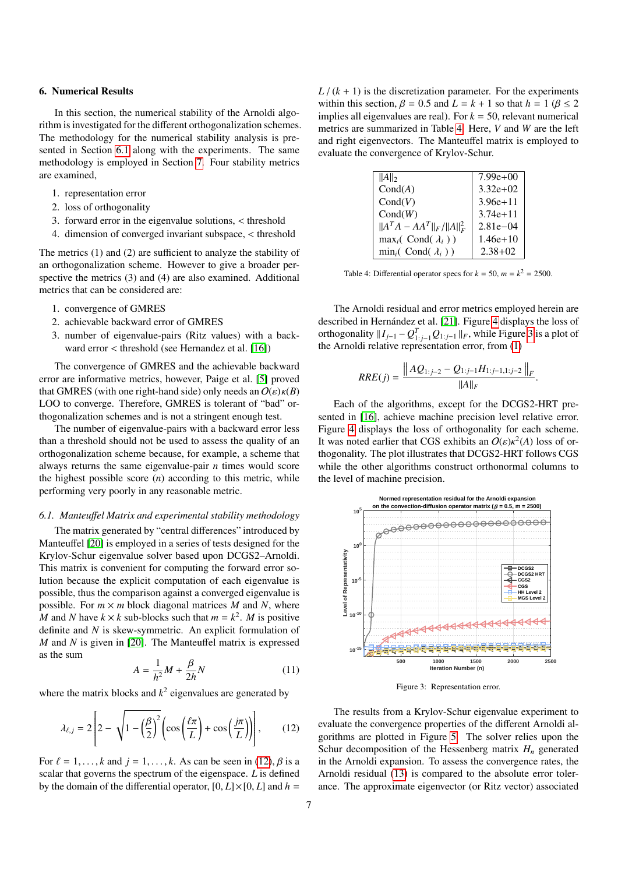# <span id="page-6-0"></span>6. Numerical Results

In this section, the numerical stability of the Arnoldi algorithm is investigated for the different orthogonalization schemes. The methodology for the numerical stability analysis is presented in Section [6.1](#page-6-1) along with the experiments. The same methodology is employed in Section [7.](#page-8-0) Four stability metrics are examined,

- 1. representation error
- 2. loss of orthogonality
- 3. forward error in the eigenvalue solutions, < threshold
- 4. dimension of converged invariant subspace, < threshold

The metrics (1) and (2) are sufficient to analyze the stability of an orthogonalization scheme. However to give a broader perspective the metrics (3) and (4) are also examined. Additional metrics that can be considered are:

- 1. convergence of GMRES
- 2. achievable backward error of GMRES
- 3. number of eigenvalue-pairs (Ritz values) with a backward error < threshold (see Hernandez et al. [\[16\]](#page-11-14))

The convergence of GMRES and the achievable backward error are informative metrics, however, Paige et al. [\[5\]](#page-11-3) proved that GMRES (with one right-hand side) only needs an  $O(\varepsilon)\kappa(B)$ LOO to converge. Therefore, GMRES is tolerant of "bad" orthogonalization schemes and is not a stringent enough test.

The number of eigenvalue-pairs with a backward error less than a threshold should not be used to assess the quality of an orthogonalization scheme because, for example, a scheme that always returns the same eigenvalue-pair *n* times would score the highest possible score (*n*) according to this metric, while performing very poorly in any reasonable metric.

# <span id="page-6-1"></span>*6.1. Manteu*ff*el Matrix and experimental stability methodology*

The matrix generated by "central differences" introduced by Manteuffel [\[20\]](#page-11-18) is employed in a series of tests designed for the Krylov-Schur eigenvalue solver based upon DCGS2–Arnoldi. This matrix is convenient for computing the forward error solution because the explicit computation of each eigenvalue is possible, thus the comparison against a converged eigenvalue is possible. For  $m \times m$  block diagonal matrices *M* and *N*, where *M* and *N* have  $k \times k$  sub-blocks such that  $m = k^2$ . *M* is positive definite and *N* is skew-symmetric. An explicit formulation of *M* and *N* is given in [\[20\]](#page-11-18). The Manteuffel matrix is expressed as the sum

$$
A = \frac{1}{h^2}M + \frac{\beta}{2h}N\tag{11}
$$

where the matrix blocks and  $k^2$  eigenvalues are generated by

$$
\lambda_{\ell,j} = 2\left[2 - \sqrt{1 - \left(\frac{\beta}{2}\right)^2} \left(\cos\left(\frac{\ell\pi}{L}\right) + \cos\left(\frac{j\pi}{L}\right)\right)\right],\qquad(12)
$$

For  $\ell = 1, \ldots, k$  and  $j = 1, \ldots, k$ . As can be seen in [\(12\)](#page-6-2),  $\beta$  is a scalar that governs the spectrum of the eigenspace. *L* is defined by the domain of the differential operator,  $[0, L] \times [0, L]$  and  $h =$ 

 $L/(k+1)$  is the discretization parameter. For the experiments within this section,  $\beta = 0.5$  and  $L = k + 1$  so that  $h = 1$  ( $\beta \le 2$ implies all eigenvalues are real). For  $k = 50$ , relevant numerical metrics are summarized in Table [4.](#page-6-3) Here, *V* and *W* are the left and right eigenvectors. The Manteuffel matrix is employed to evaluate the convergence of Krylov-Schur.

<span id="page-6-3"></span>

| $  A  _2$                            | $7.99e+00$    |
|--------------------------------------|---------------|
| Cond(A)                              | $3.32e+02$    |
| Cond(V)                              | $3.96e + 11$  |
| Cond(W)                              | $3.74e + 11$  |
| $  A^T A - AA^T  _F /   A  _F^2$     | $2.81e - 0.4$ |
| $\max_i ( \text{ Cond}(\lambda_i) )$ | $1.46e+10$    |
| $\min_i$ (Cond( $\lambda_i$ ))       | $2.38 + 02$   |
|                                      |               |

Table 4: Differential operator specs for  $k = 50$ ,  $m = k^2 = 2500$ .

The Arnoldi residual and error metrics employed herein are described in Hernández et al. [\[21\]](#page-11-19). Figure [4](#page-7-0) displays the loss of orthogonality  $\|I_{j-1} - Q_{1:j-1}^T Q_{1:j-1}\|_F$ , while Figure [3](#page-6-4) is a plot of the Arnoldi relative representation error, from [\(1\)](#page-2-3)

$$
RRE(j) = \frac{\left\|AQ_{1:j-2} - Q_{1:j-1}H_{1:j-1,1:j-2}\right\|_F}{\|A\|_F}
$$

Each of the algorithms, except for the DCGS2-HRT presented in [\[16\]](#page-11-14), achieve machine precision level relative error. Figure [4](#page-7-0) displays the loss of orthogonality for each scheme. It was noted earlier that CGS exhibits an  $O(\varepsilon) \kappa^2(A)$  loss of or-<br>thogonality. The plot illustrates that DCGS2-HRT follows CGS thogonality. The plot illustrates that DCGS2-HRT follows CGS while the other algorithms construct orthonormal columns to the level of machine precision.

<span id="page-6-4"></span>

Figure 3: Representation error.

<span id="page-6-2"></span>The results from a Krylov-Schur eigenvalue experiment to evaluate the convergence properties of the different Arnoldi algorithms are plotted in Figure [5.](#page-7-1) The solver relies upon the Schur decomposition of the Hessenberg matrix  $H_n$  generated in the Arnoldi expansion. To assess the convergence rates, the Arnoldi residual [\(13\)](#page-7-2) is compared to the absolute error tolerance. The approximate eigenvector (or Ritz vector) associated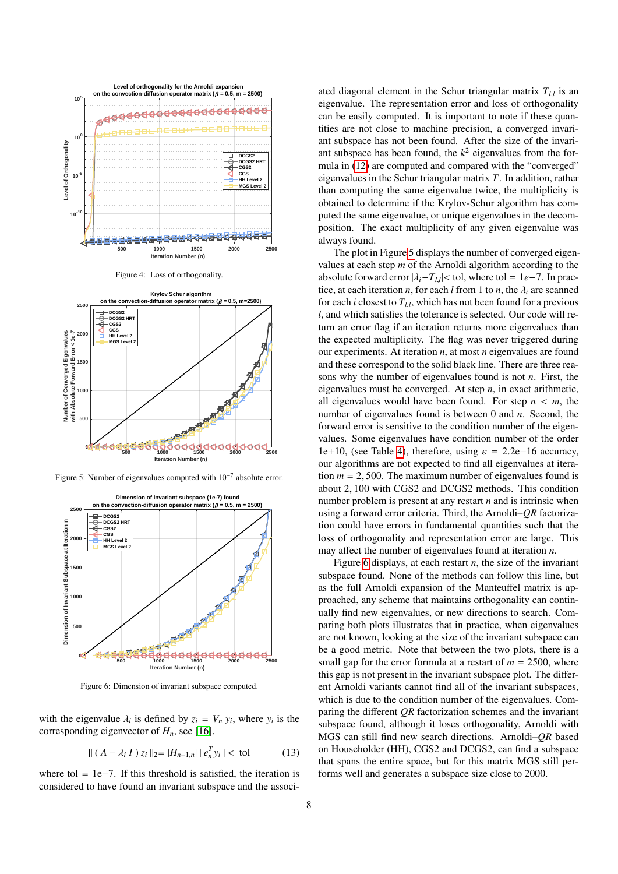<span id="page-7-0"></span>



<span id="page-7-1"></span>

Figure 5: Number of eigenvalues computed with  $10^{-7}$  absolute error.

<span id="page-7-3"></span>

Figure 6: Dimension of invariant subspace computed.

with the eigenvalue  $\lambda_i$  is defined by  $z_i = V_n y_i$ , where  $y_i$  is the corresponding eigenvector of  $H$ , see [16] corresponding eigenvector of *Hn*, see [\[16\]](#page-11-14).

<span id="page-7-2"></span>
$$
\| (A - \lambda_i I) z_i \|_2 = |H_{n+1,n}| | e_n^T y_i | < \text{tol} \tag{13}
$$

where tol = 1e−7. If this threshold is satisfied, the iteration is considered to have found an invariant subspace and the associ-

ated diagonal element in the Schur triangular matrix  $T_{l,l}$  is an eigenvalue. The representation error and loss of exthese political eigenvalue. The representation error and loss of orthogonality can be easily computed. It is important to note if these quantities are not close to machine precision, a converged invariant subspace has not been found. After the size of the invariant subspace has been found, the  $k^2$  eigenvalues from the formula in [\(12\)](#page-6-2) are computed and compared with the "converged" eigenvalues in the Schur triangular matrix *T*. In addition, rather than computing the same eigenvalue twice, the multiplicity is obtained to determine if the Krylov-Schur algorithm has computed the same eigenvalue, or unique eigenvalues in the decomposition. The exact multiplicity of any given eigenvalue was always found.

The plot in Figure [5](#page-7-1) displays the number of converged eigenvalues at each step *m* of the Arnoldi algorithm according to the absolute forward error  $|\lambda_i - T_{l,i}| < \text{tol}$ , where tol = 1*e*−7. In practice, at each iteration *n*, for each *l* from 1 to *n*, the *l*, are scanned tice, at each iteration *n*, for each *l* from 1 to *n*, the  $\lambda_i$  are scanned for each *i* closest to  $T_{l,l}$ , which has not been found for a previous  $l_{l}$  and which estiglize the telegrance is selected. Our eade will re*l*, and which satisfies the tolerance is selected. Our code will return an error flag if an iteration returns more eigenvalues than the expected multiplicity. The flag was never triggered during our experiments. At iteration *n*, at most *n* eigenvalues are found and these correspond to the solid black line. There are three reasons why the number of eigenvalues found is not *n*. First, the eigenvalues must be converged. At step *n*, in exact arithmetic, all eigenvalues would have been found. For step  $n \leq m$ , the number of eigenvalues found is between 0 and *n*. Second, the forward error is sensitive to the condition number of the eigenvalues. Some eigenvalues have condition number of the order 1e+10, (see Table [4\)](#page-6-3), therefore, using  $\varepsilon = 2.2e-16$  accuracy, our algorithms are not expected to find all eigenvalues at iteration  $m = 2,500$ . The maximum number of eigenvalues found is about 2, 100 with CGS2 and DCGS2 methods. This condition number problem is present at any restart *n* and is intrinsic when using a forward error criteria. Third, the Arnoldi–*QR* factorization could have errors in fundamental quantities such that the loss of orthogonality and representation error are large. This may affect the number of eigenvalues found at iteration *n*.

Figure [6](#page-7-3) displays, at each restart *n*, the size of the invariant subspace found. None of the methods can follow this line, but as the full Arnoldi expansion of the Manteuffel matrix is approached, any scheme that maintains orthogonality can continually find new eigenvalues, or new directions to search. Comparing both plots illustrates that in practice, when eigenvalues are not known, looking at the size of the invariant subspace can be a good metric. Note that between the two plots, there is a small gap for the error formula at a restart of  $m = 2500$ , where this gap is not present in the invariant subspace plot. The different Arnoldi variants cannot find all of the invariant subspaces, which is due to the condition number of the eigenvalues. Comparing the different *QR* factorization schemes and the invariant subspace found, although it loses orthogonality, Arnoldi with MGS can still find new search directions. Arnoldi–*QR* based on Householder (HH), CGS2 and DCGS2, can find a subspace that spans the entire space, but for this matrix MGS still performs well and generates a subspace size close to 2000.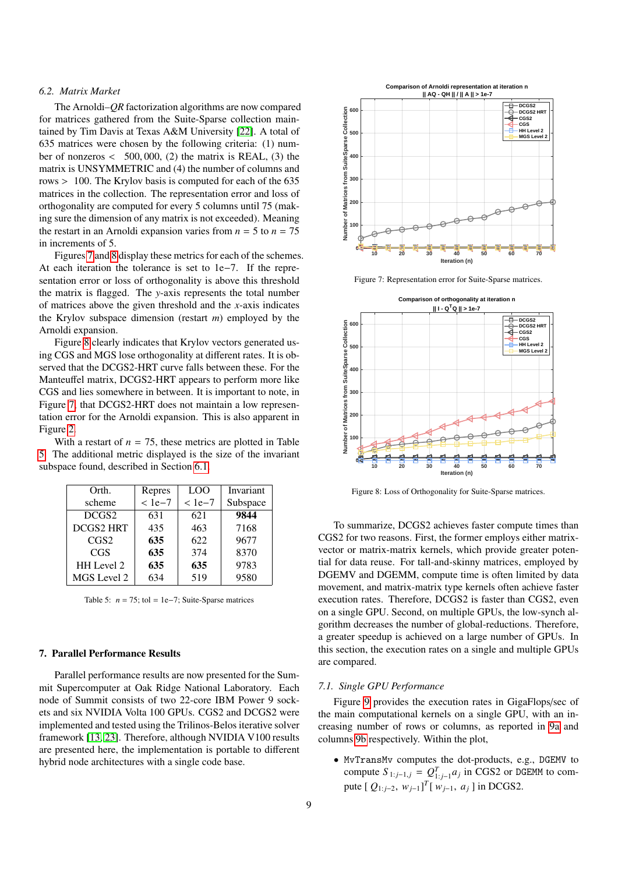# *6.2. Matrix Market*

The Arnoldi–*QR* factorization algorithms are now compared for matrices gathered from the Suite-Sparse collection maintained by Tim Davis at Texas A&M University [\[22\]](#page-11-20). A total of 635 matrices were chosen by the following criteria: (1) number of nonzeros  $\langle 500, 000, (2)$  the matrix is REAL, (3) the matrix is UNSYMMETRIC and (4) the number of columns and rows > 100. The Krylov basis is computed for each of the 635 matrices in the collection. The representation error and loss of orthogonality are computed for every 5 columns until 75 (making sure the dimension of any matrix is not exceeded). Meaning the restart in an Arnoldi expansion varies from  $n = 5$  to  $n = 75$ in increments of 5.

Figures [7](#page-8-1) and [8](#page-8-2) display these metrics for each of the schemes. At each iteration the tolerance is set to 1e−7. If the representation error or loss of orthogonality is above this threshold the matrix is flagged. The *y*-axis represents the total number of matrices above the given threshold and the *x*-axis indicates the Krylov subspace dimension (restart *m*) employed by the Arnoldi expansion.

Figure [8](#page-8-2) clearly indicates that Krylov vectors generated using CGS and MGS lose orthogonality at different rates. It is observed that the DCGS2-HRT curve falls between these. For the Manteuffel matrix, DCGS2-HRT appears to perform more like CGS and lies somewhere in between. It is important to note, in Figure [7,](#page-8-1) that DCGS2-HRT does not maintain a low representation error for the Arnoldi expansion. This is also apparent in Figure [2.](#page-5-4)

With a restart of  $n = 75$ , these metrics are plotted in Table [5.](#page-8-3) The additional metric displayed is the size of the invariant subspace found, described in Section [6.1.](#page-6-1)

<span id="page-8-3"></span>

| Orth.            | Repres | L <sub>O</sub> O | Invariant |
|------------------|--------|------------------|-----------|
| scheme           | $1e-7$ | $<$ 1e-7         | Subspace  |
| DCGS2            | 631    | 621              | 9844      |
| <b>DCGS2 HRT</b> | 435    | 463              | 7168      |
| CGS2             | 635    | 622              | 9677      |
| CGS              | 635    | 374              | 8370      |
| HH Level 2       | 635    | 635              | 9783      |
| MGS Level 2      | 634    | 519              | 9580      |

Table 5:  $n = 75$ ; tol = 1e−7; Suite-Sparse matrices

# <span id="page-8-0"></span>7. Parallel Performance Results

Parallel performance results are now presented for the Summit Supercomputer at Oak Ridge National Laboratory. Each node of Summit consists of two 22-core IBM Power 9 sockets and six NVIDIA Volta 100 GPUs. CGS2 and DCGS2 were implemented and tested using the Trilinos-Belos iterative solver framework [\[13,](#page-11-11) [23\]](#page-12-0). Therefore, although NVIDIA V100 results are presented here, the implementation is portable to different hybrid node architectures with a single code base.

<span id="page-8-1"></span>

Figure 7: Representation error for Suite-Sparse matrices.

<span id="page-8-2"></span>

Figure 8: Loss of Orthogonality for Suite-Sparse matrices.

To summarize, DCGS2 achieves faster compute times than CGS2 for two reasons. First, the former employs either matrixvector or matrix-matrix kernels, which provide greater potential for data reuse. For tall-and-skinny matrices, employed by DGEMV and DGEMM, compute time is often limited by data movement, and matrix-matrix type kernels often achieve faster execution rates. Therefore, DCGS2 is faster than CGS2, even on a single GPU. Second, on multiple GPUs, the low-synch algorithm decreases the number of global-reductions. Therefore, a greater speedup is achieved on a large number of GPUs. In this section, the execution rates on a single and multiple GPUs are compared.

#### *7.1. Single GPU Performance*

Figure [9](#page-10-1) provides the execution rates in GigaFlops/sec of the main computational kernels on a single GPU, with an increasing number of rows or columns, as reported in [9a](#page-10-1) and columns [9b](#page-10-1) respectively. Within the plot,

• MvTransMv computes the dot-products, e.g., DGEMV to compute  $S_{1:j-1,j} = Q_{1:j-1}^T a_j$  in CGS2 or DGEMM to compute  $[Q_{1:j-2}, w_{j-1}]^T[w_{j-1}, a_j]$  in DCGS2.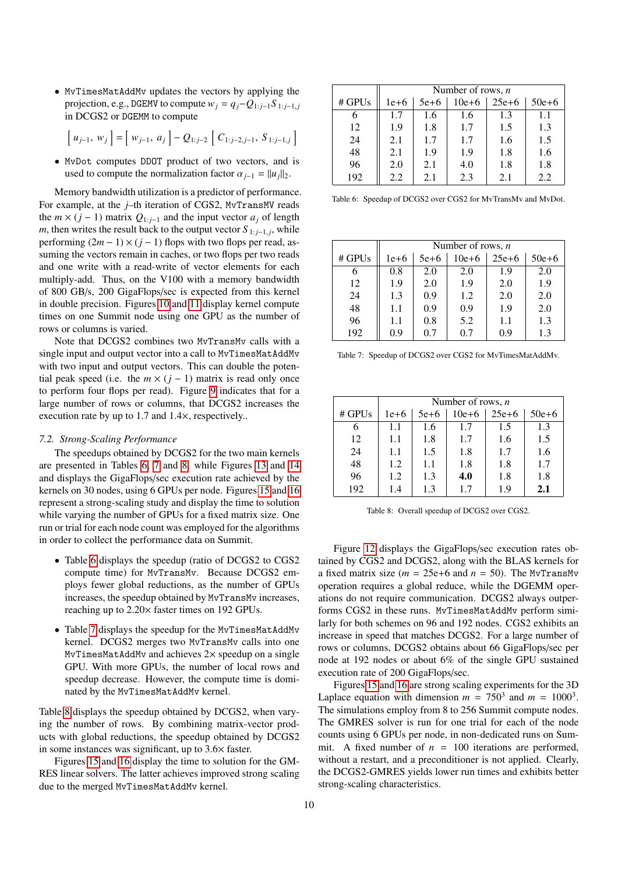• MvTimesMatAddMv updates the vectors by applying the projection, e.g., DGEMV to compute  $w_j = q_j - Q_{1:j-1}S_{1:j-1,j}$ in DCGS2 or DGEMM to compute

$$
\left[\,u_{j-1},\,w_j\,\right] = \left[\,w_{j-1},\,a_j\,\right] - Q_{1:j-2}\,\left[\,C_{1:j-2,j-1},\,S_{1:j-1,j}\,\right]
$$

• MvDot computes DDOT product of two vectors, and is used to compute the normalization factor  $\alpha_{i-1} = ||u_i||_2$ .

Memory bandwidth utilization is a predictor of performance. For example, at the *j*–th iteration of CGS2, MvTransMV reads the  $m \times (j-1)$  matrix  $Q_{1:j-1}$  and the input vector  $a_j$  of length *m*, then writes the result back to the output vector  $S_{1:j-1,j}$ , while performing  $(2m - 1) \times (j - 1)$  flops with two flops per read, assuming the vectors remain in caches, or two flops per two reads and one write with a read-write of vector elements for each multiply-add. Thus, on the V100 with a memory bandwidth of 800 GB/s, 200 GigaFlops/sec is expected from this kernel in double precision. Figures [10](#page-10-2) and [11](#page-10-3) display kernel compute times on one Summit node using one GPU as the number of rows or columns is varied.

Note that DCGS2 combines two MvTransMv calls with a single input and output vector into a call to MvTimesMatAddMv with two input and output vectors. This can double the potential peak speed (i.e. the  $m \times (j - 1)$  matrix is read only once to perform four flops per read). Figure [9](#page-10-1) indicates that for a large number of rows or columns, that DCGS2 increases the execution rate by up to 1.7 and 1.4×, respectively..

# *7.2. Strong-Scaling Performance*

The speedups obtained by DCGS2 for the two main kernels are presented in Tables [6,](#page-9-0) [7](#page-9-1) and [8,](#page-9-2) while Figures [13](#page-11-21) and [14](#page-11-22) and displays the GigaFlops/sec execution rate achieved by the kernels on 30 nodes, using 6 GPUs per node. Figures [15](#page-12-1) and [16](#page-12-2) represent a strong-scaling study and display the time to solution while varying the number of GPUs for a fixed matrix size. One run or trial for each node count was employed for the algorithms in order to collect the performance data on Summit.

- Table [6](#page-9-0) displays the speedup (ratio of DCGS2 to CGS2 compute time) for MvTransMv. Because DCGS2 employs fewer global reductions, as the number of GPUs increases, the speedup obtained by MvTransMv increases, reaching up to 2.20<sup>×</sup> faster times on 192 GPUs.
- Table [7](#page-9-1) displays the speedup for the MvTimesMatAddMv kernel. DCGS2 merges two MvTransMv calls into one MvTimesMatAddMv and achieves  $2\times$  speedup on a single GPU. With more GPUs, the number of local rows and speedup decrease. However, the compute time is dominated by the MvTimesMatAddMv kernel.

Table [8](#page-9-2) displays the speedup obtained by DCGS2, when varying the number of rows. By combining matrix-vector products with global reductions, the speedup obtained by DCGS2 in some instances was significant, up to 3.6<sup>×</sup> faster.

Figures [15](#page-12-1) and [16](#page-12-2) display the time to solution for the GM-RES linear solvers. The latter achieves improved strong scaling due to the merged MvTimesMatAddMv kernel.

<span id="page-9-0"></span>

|          | Number of rows, $n$ |        |           |         |           |
|----------|---------------------|--------|-----------|---------|-----------|
| $#$ GPUs | $1e+6$              | $5e+6$ | $10e + 6$ | $25e+6$ | $50e + 6$ |
| 6        | 1.7                 | 1.6    | 1.6       | 1.3     | 1.1       |
| 12       | 1.9                 | 1.8    | 1.7       | 1.5     | 1.3       |
| 24       | 2.1                 | 1.7    | 1.7       | 1.6     | 1.5       |
| 48       | 2.1                 | 1.9    | 1.9       | 1.8     | 1.6       |
| 96       | 2.0                 | 2.1    | 4.0       | 1.8     | 1.8       |
| 192      | 2.2                 | 2.1    | 2.3       | 2.1     | 2.2       |

Table 6: Speedup of DCGS2 over CGS2 for MvTransMv and MvDot.

<span id="page-9-1"></span>

|          | Number of rows, $n$ |        |           |         |           |
|----------|---------------------|--------|-----------|---------|-----------|
| $#$ GPUs | $1e+6$              | $5e+6$ | $10e + 6$ | $25e+6$ | $50e + 6$ |
| 6        | 0.8                 | 2.0    | 2.0       | 1.9     | 2.0       |
| 12       | 1.9                 | 2.0    | 1.9       | 2.0     | 1.9       |
| 24       | 1.3                 | 0.9    | 1.2       | 2.0     | 2.0       |
| 48       | 1.1                 | 0.9    | 0.9       | 1.9     | 2.0       |
| 96       | 1.1                 | 0.8    | 5.2       | 1.1     | 1.3       |
| 192      | 0.9                 | 0.7    | 0.7       | 0.9     | 1.3       |

Table 7: Speedup of DCGS2 over CGS2 for MvTimesMatAddMv.

<span id="page-9-2"></span>

|          |        | Number of rows, $n$ |           |         |           |  |
|----------|--------|---------------------|-----------|---------|-----------|--|
| $#$ GPUs | $1e+6$ | $5e+6$              | $10e + 6$ | $25e+6$ | $50e + 6$ |  |
| 6        | 1.1    | 1.6                 | 1.7       | 1.5     | 1.3       |  |
| 12       | 1.1    | 1.8                 | 1.7       | 1.6     | 1.5       |  |
| 24       | 1.1    | 1.5                 | 1.8       | 1.7     | 1.6       |  |
| 48       | 1.2    | 1.1                 | 1.8       | 1.8     | 1.7       |  |
| 96       | 1.2    | 1.3                 | 4.0       | 1.8     | 1.8       |  |
| 192      | 1.4    | 1.3                 | 1.7       | 1.9     | 2.1       |  |

Table 8: Overall speedup of DCGS2 over CGS2.

Figure [12](#page-11-23) displays the GigaFlops/sec execution rates obtained by CGS2 and DCGS2, along with the BLAS kernels for a fixed matrix size ( $m = 25e+6$  and  $n = 50$ ). The MvTransMv operation requires a global reduce, while the DGEMM operations do not require communication. DCGS2 always outperforms CGS2 in these runs. MvTimesMatAddMv perform similarly for both schemes on 96 and 192 nodes. CGS2 exhibits an increase in speed that matches DCGS2. For a large number of rows or columns, DCGS2 obtains about 66 GigaFlops/sec per node at 192 nodes or about 6% of the single GPU sustained execution rate of 200 GigaFlops/sec.

Figures [15](#page-12-1) and [16](#page-12-2) are strong scaling experiments for the 3D Laplace equation with dimension  $m = 750^3$  and  $m = 1000^3$ . The simulations employ from 8 to 256 Summit compute nodes. The GMRES solver is run for one trial for each of the node counts using 6 GPUs per node, in non-dedicated runs on Summit. A fixed number of  $n = 100$  iterations are performed, without a restart, and a preconditioner is not applied. Clearly, the DCGS2-GMRES yields lower run times and exhibits better strong-scaling characteristics.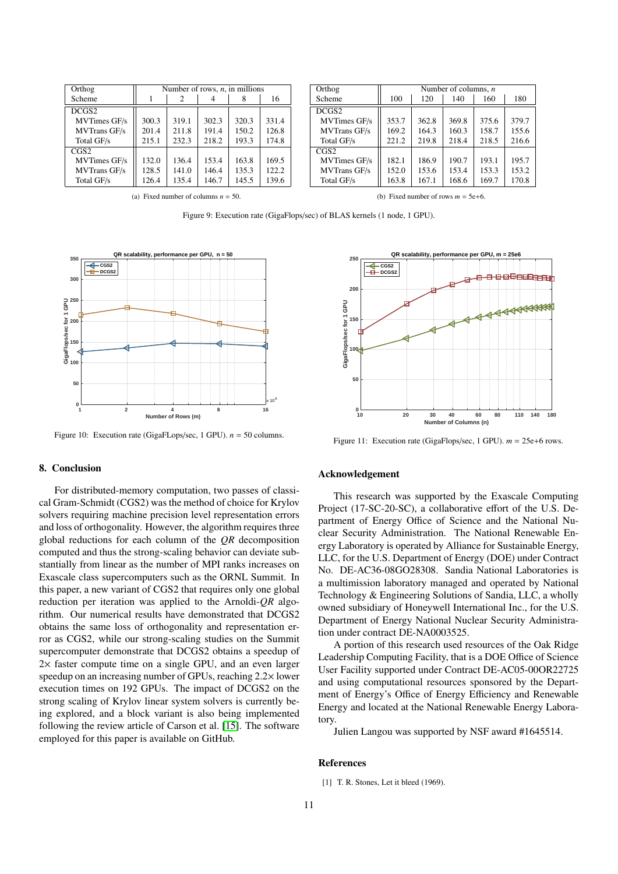<span id="page-10-1"></span>

| Orthog              | Number of rows, $n$ , in millions |       |       |       |       |
|---------------------|-----------------------------------|-------|-------|-------|-------|
| Scheme              |                                   | 2     |       | 8     | 16    |
| DCGS <sub>2</sub>   |                                   |       |       |       |       |
| <b>MVTimes GF/s</b> | 300.3                             | 319.1 | 302.3 | 320.3 | 331.4 |
| <b>MVTrans GF/s</b> | 201.4                             | 211.8 | 191.4 | 150.2 | 126.8 |
| Total GF/s          | 215.1                             | 232.3 | 218.2 | 193.3 | 174.8 |
| CGS2                |                                   |       |       |       |       |
| MVTimes GF/s        | 132.0                             | 136.4 | 153.4 | 163.8 | 169.5 |
| <b>MVTrans GF/s</b> | 128.5                             | 141.0 | 146.4 | 135.3 | 122.2 |
| Total GF/s          | 126.4                             | 135.4 | 146.7 | 145.5 | 139.6 |
|                     |                                   |       |       |       |       |

| Orthog              | Number of columns, $n$ |       |       |       |       |
|---------------------|------------------------|-------|-------|-------|-------|
| Scheme              | 100                    | 120   | 140   | 160   | 180   |
| DCGS2               |                        |       |       |       |       |
| <b>MVTimes GF/s</b> | 353.7                  | 362.8 | 369.8 | 375.6 | 379.7 |
| <b>MVTrans GF/s</b> | 169.2                  | 164.3 | 160.3 | 158.7 | 155.6 |
| Total GF/s          | 221.2                  | 219.8 | 218.4 | 218.5 | 216.6 |
| CGS2                |                        |       |       |       |       |
| <b>MVTimes GF/s</b> | 182.1                  | 186.9 | 190.7 | 193.1 | 195.7 |
| <b>MVTrans GF/s</b> | 152.0                  | 153.6 | 153.4 | 153.3 | 153.2 |
| Total GF/s          | 163.8                  | 167.1 | 168.6 | 169.7 | 170.8 |

(a) Fixed number of columns  $n = 50$ .

(b) Fixed number of rows  $m = 5e+6$ .

Figure 9: Execution rate (GigaFlops/sec) of BLAS kernels (1 node, 1 GPU).

<span id="page-10-2"></span>

Figure 10: Execution rate (GigaFLops/sec, 1 GPU). *n* = 50 columns.

#### 8. Conclusion

For distributed-memory computation, two passes of classical Gram-Schmidt (CGS2) was the method of choice for Krylov solvers requiring machine precision level representation errors and loss of orthogonality. However, the algorithm requires three global reductions for each column of the *QR* decomposition computed and thus the strong-scaling behavior can deviate substantially from linear as the number of MPI ranks increases on Exascale class supercomputers such as the ORNL Summit. In this paper, a new variant of CGS2 that requires only one global reduction per iteration was applied to the Arnoldi-*QR* algorithm. Our numerical results have demonstrated that DCGS2 obtains the same loss of orthogonality and representation error as CGS2, while our strong-scaling studies on the Summit supercomputer demonstrate that DCGS2 obtains a speedup of 2× faster compute time on a single GPU, and an even larger speedup on an increasing number of GPUs, reaching 2.2<sup>×</sup> lower execution times on 192 GPUs. The impact of DCGS2 on the strong scaling of Krylov linear system solvers is currently being explored, and a block variant is also being implemented following the review article of Carson et al. [\[15\]](#page-11-13). The software employed for this paper is available on GitHub.

<span id="page-10-3"></span>

Figure 11: Execution rate (GigaFlops/sec, 1 GPU). *m* = 25e+6 rows.

# Acknowledgement

This research was supported by the Exascale Computing Project (17-SC-20-SC), a collaborative effort of the U.S. Department of Energy Office of Science and the National Nuclear Security Administration. The National Renewable Energy Laboratory is operated by Alliance for Sustainable Energy, LLC, for the U.S. Department of Energy (DOE) under Contract No. DE-AC36-08GO28308. Sandia National Laboratories is a multimission laboratory managed and operated by National Technology & Engineering Solutions of Sandia, LLC, a wholly owned subsidiary of Honeywell International Inc., for the U.S. Department of Energy National Nuclear Security Administration under contract DE-NA0003525.

A portion of this research used resources of the Oak Ridge Leadership Computing Facility, that is a DOE Office of Science User Facility supported under Contract DE-AC05-00OR22725 and using computational resources sponsored by the Department of Energy's Office of Energy Efficiency and Renewable Energy and located at the National Renewable Energy Laboratory.

Julien Langou was supported by NSF award #1645514.

#### References

<span id="page-10-0"></span>[1] T. R. Stones, Let it bleed (1969).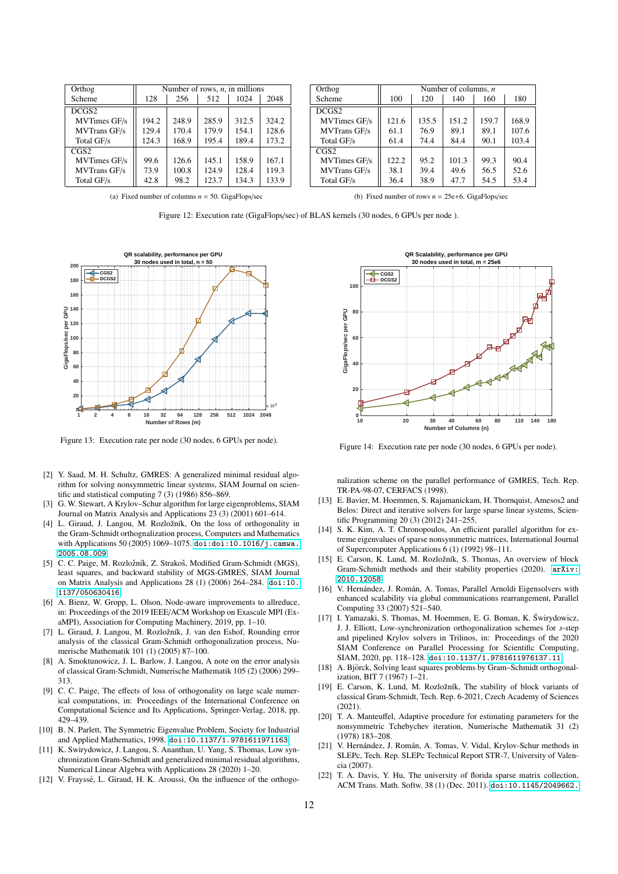<span id="page-11-23"></span>

| Orthog              | Number of rows, $n$ , in millions |       |       |       |       |
|---------------------|-----------------------------------|-------|-------|-------|-------|
| Scheme              | 128                               | 256   | 512   | 1024  | 2048  |
| DCGS <sub>2</sub>   |                                   |       |       |       |       |
| MVTimes GF/s        | 194.2                             | 248.9 | 285.9 | 312.5 | 324.2 |
| <b>MVTrans GF/s</b> | 129.4                             | 170.4 | 179.9 | 154.1 | 128.6 |
| Total GF/s          | 124.3                             | 168.9 | 195.4 | 189.4 | 173.2 |
| CGS2                |                                   |       |       |       |       |
| MVTimes GF/s        | 99.6                              | 126.6 | 145.1 | 158.9 | 167.1 |
| <b>MVTrans GF/s</b> | 73.9                              | 100.8 | 124.9 | 128.4 | 119.3 |
| Total GF/s          | 42.8                              | 98.2  | 123.7 | 134.3 | 133.9 |

| Orthog              | Number of columns, $n$ |       |       |       |       |
|---------------------|------------------------|-------|-------|-------|-------|
| Scheme              | 100                    | 120   | 140   | 160   | 180   |
| DCGS <sub>2</sub>   |                        |       |       |       |       |
| MVTimes GF/s        | 121.6                  | 135.5 | 151.2 | 159.7 | 168.9 |
| <b>MVTrans GF/s</b> | 61.1                   | 76.9  | 89.1  | 89.1  | 107.6 |
| Total GF/s          | 61.4                   | 74.4  | 84.4  | 90.1  | 103.4 |
| CGS2                |                        |       |       |       |       |
| <b>MVTimes GF/s</b> | 122.2                  | 95.2  | 101.3 | 99.3  | 90.4  |
| <b>MVTrans GF/s</b> | 38.1                   | 39.4  | 49.6  | 56.5  | 52.6  |
| Total GF/s          | 36.4                   | 38.9  | 47.7  | 54.5  | 53.4  |
|                     |                        |       |       |       |       |

(a) Fixed number of columns  $n = 50$ . GigaFlops/sec.

(b) Fixed number of rows  $n = 25e+6$ . GigaFlops/sec.

Figure 12: Execution rate (GigaFlops/sec) of BLAS kernels (30 nodes, 6 GPUs per node ).

<span id="page-11-21"></span>

Figure 13: Execution rate per node (30 nodes, 6 GPUs per node).

- <span id="page-11-0"></span>[2] Y. Saad, M. H. Schultz, GMRES: A generalized minimal residual algorithm for solving nonsymmetric linear systems, SIAM Journal on scientific and statistical computing 7 (3) (1986) 856–869.
- <span id="page-11-1"></span>[3] G. W. Stewart, A Krylov–Schur algorithm for large eigenproblems, SIAM Journal on Matrix Analysis and Applications 23 (3) (2001) 601–614.
- <span id="page-11-2"></span>[4] L. Giraud, J. Langou, M. Rozložník, On the loss of orthogonality in the Gram-Schmidt orthognalization process, Computers and Mathematics with Applications 50 (2005) 1069–1075. [doi:doi:10.1016/j.camwa.](https://doi.org/doi:10.1016/j.camwa.2005.08.009) [2005.08.009](https://doi.org/doi:10.1016/j.camwa.2005.08.009).
- <span id="page-11-3"></span>[5] C. C. Paige, M. Rozložník, Z. Strakoš, Modified Gram-Schmidt (MGS), least squares, and backward stability of MGS-GMRES, SIAM Journal on Matrix Analysis and Applications 28 (1) (2006) 264–284. [doi:10.](https://doi.org/10.1137/050630416) [1137/050630416](https://doi.org/10.1137/050630416).
- <span id="page-11-4"></span>[6] A. Bienz, W. Gropp, L. Olson, Node-aware improvements to allreduce, in: Proceedings of the 2019 IEEE/ACM Workshop on Exascale MPI (ExaMPI), Association for Computing Machinery, 2019, pp. 1–10.
- <span id="page-11-5"></span>[7] L. Giraud, J. Langou, M. Rozložník, J. van den Eshof, Rounding error analysis of the classical Gram-Schmidt orthogonalization process, Numerische Mathematik 101 (1) (2005) 87–100.
- <span id="page-11-6"></span>[8] A. Smoktunowicz, J. L. Barlow, J. Langou, A note on the error analysis of classical Gram-Schmidt, Numerische Mathematik 105 (2) (2006) 299– 313.
- <span id="page-11-7"></span>[9] C. C. Paige, The effects of loss of orthogonality on large scale numerical computations, in: Proceedings of the International Conference on Computational Science and Its Applications, Springer-Verlag, 2018, pp. 429–439.
- <span id="page-11-8"></span>[10] B. N. Parlett, The Symmetric Eigenvalue Problem, Society for Industrial and Applied Mathematics, 1998. [doi:10.1137/1.9781611971163](https://doi.org/10.1137/1.9781611971163).
- <span id="page-11-9"></span>[11] K. Swirydowicz, J. Langou, S. Ananthan, U. Yang, S. Thomas, Low synchronization Gram-Schmidt and generalized minimal residual algorithms, Numerical Linear Algebra with Applications 28 (2020) 1–20.
- <span id="page-11-10"></span>[12] V. Frayssé, L. Giraud, H. K. Aroussi, On the influence of the orthogo-

<span id="page-11-22"></span>

Figure 14: Execution rate per node (30 nodes, 6 GPUs per node).

nalization scheme on the parallel performance of GMRES, Tech. Rep. TR-PA-98-07, CERFACS (1998).

- <span id="page-11-11"></span>[13] E. Bavier, M. Hoemmen, S. Rajamanickam, H. Thornquist, Amesos2 and Belos: Direct and iterative solvers for large sparse linear systems, Scientific Programming 20 (3) (2012) 241–255.
- <span id="page-11-12"></span>[14] S. K. Kim, A. T. Chronopoulos, An efficient parallel algorithm for extreme eigenvalues of sparse nonsymmetric matrices, International Journal of Supercomputer Applications 6 (1) (1992) 98–111.
- <span id="page-11-13"></span>[15] E. Carson, K. Lund, M. Rozložník, S. Thomas, An overview of block Gram-Schmidt methods and their stability properties (2020). [arXiv:](http://arxiv.org/abs/2010.12058) [2010.12058](http://arxiv.org/abs/2010.12058).
- <span id="page-11-14"></span>[16] V. Hernández, J. Román, A. Tomas, Parallel Arnoldi Eigensolvers with enhanced scalability via global communications rearrangement, Parallel Computing 33 (2007) 521–540.
- <span id="page-11-15"></span>[17] I. Yamazaki, S. Thomas, M. Hoemmen, E. G. Boman, K. Swirydowicz, ´ J. J. Elliott, Low-synchronization orthogonalization schemes for *s*-step and pipelined Krylov solvers in Trilinos, in: Proceedings of the 2020 SIAM Conference on Parallel Processing for Scientific Computing, SIAM, 2020, pp. 118–128. [doi:10.1137/1.9781611976137.11](https://doi.org/10.1137/1.9781611976137.11).
- <span id="page-11-16"></span>[18] A. Björck, Solving least squares problems by Gram–Schmidt orthogonalization, BIT 7 (1967) 1–21.
- <span id="page-11-17"></span>[19] E. Carson, K. Lund, M. Rozložník, The stability of block variants of classical Gram-Schmidt, Tech. Rep. 6-2021, Czech Academy of Sciences  $(2021)$
- <span id="page-11-18"></span>[20] T. A. Manteuffel, Adaptive procedure for estimating parameters for the nonsymmetric Tchebychev iteration, Numerische Mathematik 31 (2) (1978) 183–208.
- <span id="page-11-19"></span>[21] V. Hernández, J. Román, A. Tomas, V. Vidal, Krylov-Schur methods in SLEPc, Tech. Rep. SLEPc Technical Report STR-7, University of Valencia (2007).
- <span id="page-11-20"></span>[22] T. A. Davis, Y. Hu, The university of florida sparse matrix collection, ACM Trans. Math. Softw. 38 (1) (Dec. 2011). [doi:10.1145/2049662.](https://doi.org/10.1145/2049662.2049663)